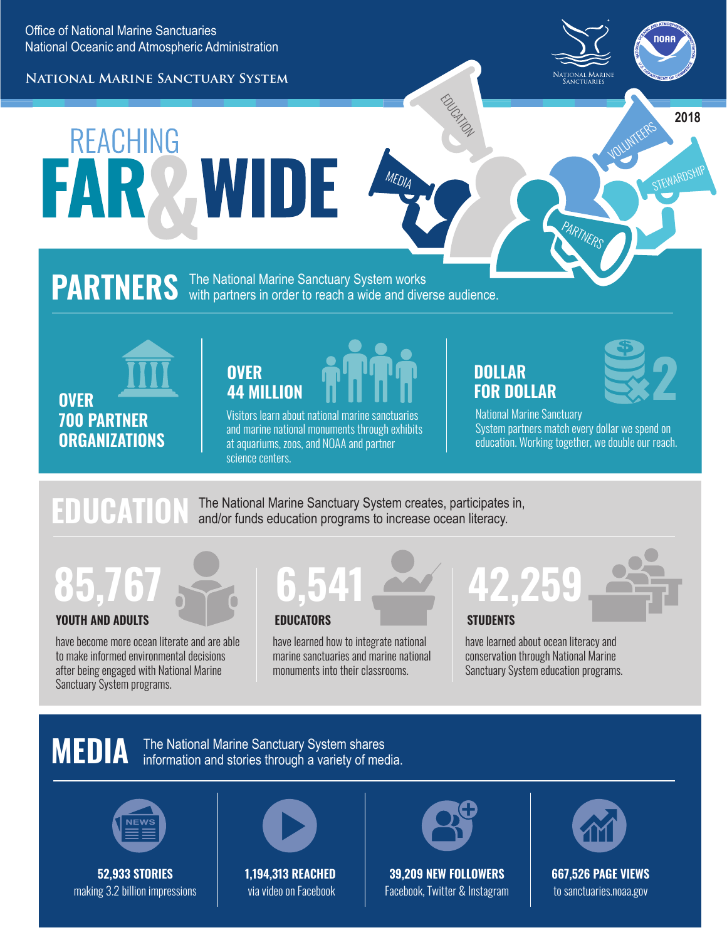**National Marine Sanctuary System**



VOLUNTEERS

STEWARDSHIP

**2018**

# **REACHING** FAR2 WIDE

#### **PARTNERS** The National Marine Sanctuary System works with partners in order to reach a wide and diverse audience.

**OVER 700 PARTNER ORGANIZATIONS**

## **OVER 44 MILLION**

Visitors learn about national marine sanctuaries and marine national monuments through exhibits at aquariums, zoos, and NOAA and partner science centers.

### **DOLLAR FOR DOLLAR**

EDUCATION

MEDIA



National Marine Sanctuary System partners match every dollar we spend on education. Working together, we double our reach.

PARTNERS

#### **EDUCATION** The National Marine Sanctuary System creates, participates in, and/or funds education programs to increase ocean literacy.

## **YOUTH AND ADULTS EDUCATORS 85,767 6,541**

have become more ocean literate and are able to make informed environmental decisions after being engaged with National Marine Sanctuary System programs.

have learned how to integrate national marine sanctuaries and marine national monuments into their classrooms.

# **42,259**

**STUDENTS**

have learned about ocean literacy and conservation through National Marine Sanctuary System education programs.

## **MEDIA**

The National Marine Sanctuary System shares information and stories through a variety of media.



**52,933 STORIES** making 3.2 billion impressions



**1,194,313 REACHED** via video on Facebook



**39,209 NEW FOLLOWERS** Facebook, Twitter & Instagram



**667,526 PAGE VIEWS** to sanctuaries.noaa.gov